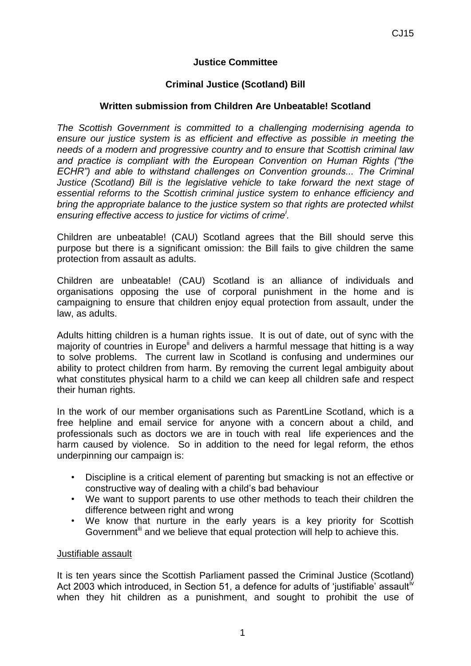# **Justice Committee**

## **Criminal Justice (Scotland) Bill**

#### **Written submission from Children Are Unbeatable! Scotland**

*The Scottish Government is committed to a challenging modernising agenda to ensure our justice system is as efficient and effective as possible in meeting the needs of a modern and progressive country and to ensure that Scottish criminal law and practice is compliant with the European Convention on Human Rights ("the ECHR") and able to withstand challenges on Convention grounds... The Criminal Justice (Scotland) Bill is the legislative vehicle to take forward the next stage of essential reforms to the Scottish criminal justice system to enhance efficiency and bring the appropriate balance to the justice system so that rights are protected whilst ensuring effective access to justice for victims of crime<sup>i</sup> .* 

Children are unbeatable! (CAU) Scotland agrees that the Bill should serve this purpose but there is a significant omission: the Bill fails to give children the same protection from assault as adults.

Children are unbeatable! (CAU) Scotland is an alliance of individuals and organisations opposing the use of corporal punishment in the home and is campaigning to ensure that children enjoy equal protection from assault, under the law, as adults.

Adults hitting children is a human rights issue. It is out of date, out of sync with the majority of countries in Europe<sup>ii</sup> and delivers a harmful message that hitting is a way to solve problems. The current law in Scotland is confusing and undermines our ability to protect children from harm. By removing the current legal ambiguity about what constitutes physical harm to a child we can keep all children safe and respect their human rights.

In the work of our member organisations such as ParentLine Scotland, which is a free helpline and email service for anyone with a concern about a child, and professionals such as doctors we are in touch with real life experiences and the harm caused by violence. So in addition to the need for legal reform, the ethos underpinning our campaign is:

- Discipline is a critical element of parenting but smacking is not an effective or constructive way of dealing with a child's bad behaviour
- We want to support parents to use other methods to teach their children the difference between right and wrong
- We know that nurture in the early years is a key priority for Scottish Government<sup>iii</sup> and we believe that equal protection will help to achieve this.

#### Justifiable assault

It is ten years since the Scottish Parliament passed the Criminal Justice (Scotland) Act 2003 which introduced, in Section 51, a defence for adults of 'justifiable' assault<sup>iv</sup> when they hit children as a punishment, and sought to prohibit the use of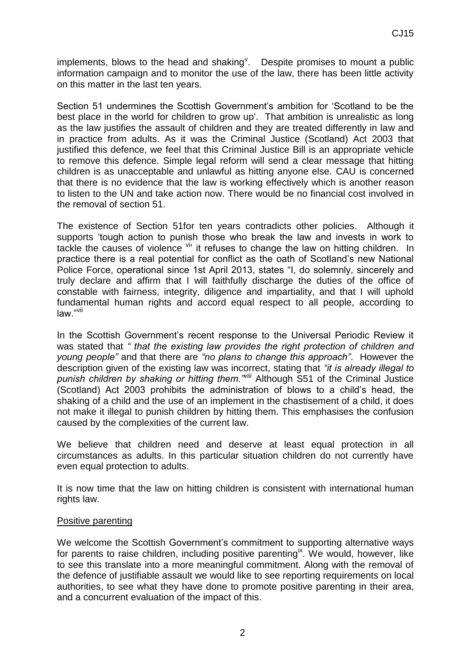implements, blows to the head and shaking<sup>v</sup>. Despite promises to mount a public information campaign and to monitor the use of the law, there has been little activity on this matter in the last ten years.

Section 51 undermines the Scottish Government's ambition for 'Scotland to be the best place in the world for children to grow up'. That ambition is unrealistic as long as the law justifies the assault of children and they are treated differently in law and in practice from adults. As it was the Criminal Justice (Scotland) Act 2003 that justified this defence, we feel that this Criminal Justice Bill is an appropriate vehicle to remove this defence. Simple legal reform will send a clear message that hitting children is as unacceptable and unlawful as hitting anyone else. CAU is concerned that there is no evidence that the law is working effectively which is another reason to listen to the UN and take action now. There would be no financial cost involved in the removal of section 51.

The existence of Section 51for ten years contradicts other policies. Although it supports 'tough action to punish those who break the law and invests in work to tackle the causes of violence  $\frac{v_i}{v}$  it refuses to change the law on hitting children. In practice there is a real potential for conflict as the oath of Scotland's new National Police Force, operational since 1st April 2013, states "I, do solemnly, sincerely and truly declare and affirm that I will faithfully discharge the duties of the office of constable with fairness, integrity, diligence and impartiality, and that I will uphold fundamental human rights and accord equal respect to all people, according to law."vii

In the Scottish Government's recent response to the Universal Periodic Review it was stated that *" that the existing law provides the right protection of children and young people"* and that there are *"no plans to change this approach"*. However the description given of the existing law was incorrect, stating that *"it is already illegal to punish children by shaking or hitting them."viii* Although S51 of the Criminal Justice (Scotland) Act 2003 prohibits the administration of blows to a child's head, the shaking of a child and the use of an implement in the chastisement of a child, it does not make it illegal to punish children by hitting them. This emphasises the confusion caused by the complexities of the current law.

We believe that children need and deserve at least equal protection in all circumstances as adults. In this particular situation children do not currently have even equal protection to adults.

It is now time that the law on hitting children is consistent with international human rights law.

#### Positive parenting

We welcome the Scottish Government's commitment to supporting alternative ways for parents to raise children, including positive parenting<sup>ix</sup>. We would, however, like to see this translate into a more meaningful commitment. Along with the removal of the defence of justifiable assault we would like to see reporting requirements on local authorities, to see what they have done to promote positive parenting in their area, and a concurrent evaluation of the impact of this.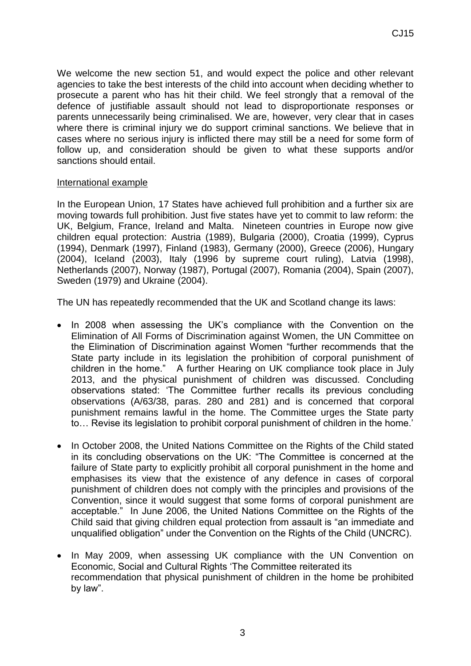We welcome the new section 51, and would expect the police and other relevant agencies to take the best interests of the child into account when deciding whether to prosecute a parent who has hit their child. We feel strongly that a removal of the defence of justifiable assault should not lead to disproportionate responses or parents unnecessarily being criminalised. We are, however, very clear that in cases where there is criminal injury we do support criminal sanctions. We believe that in cases where no serious injury is inflicted there may still be a need for some form of follow up, and consideration should be given to what these supports and/or sanctions should entail.

## International example

In the European Union, 17 States have achieved full prohibition and a further six are moving towards full prohibition. Just five states have yet to commit to law reform: the UK, Belgium, France, Ireland and Malta. Nineteen countries in Europe now give children equal protection: Austria (1989), Bulgaria (2000), Croatia (1999), Cyprus (1994), Denmark (1997), Finland (1983), Germany (2000), Greece (2006), Hungary (2004), Iceland (2003), Italy (1996 by supreme court ruling), Latvia (1998), Netherlands (2007), Norway (1987), Portugal (2007), Romania (2004), Spain (2007), Sweden (1979) and Ukraine (2004).

The UN has repeatedly recommended that the UK and Scotland change its laws:

- In 2008 when assessing the UK's compliance with the Convention on the Elimination of All Forms of Discrimination against Women, the UN Committee on the Elimination of Discrimination against Women "further recommends that the State party include in its legislation the prohibition of corporal punishment of children in the home." A further Hearing on UK compliance took place in July 2013, and the physical punishment of children was discussed. Concluding observations stated: 'The Committee further recalls its previous concluding observations (A/63/38, paras. 280 and 281) and is concerned that corporal punishment remains lawful in the home. The Committee urges the State party to… Revise its legislation to prohibit corporal punishment of children in the home.'
- In October 2008, the United Nations Committee on the Rights of the Child stated in its concluding observations on the UK: "The Committee is concerned at the failure of State party to explicitly prohibit all corporal punishment in the home and emphasises its view that the existence of any defence in cases of corporal punishment of children does not comply with the principles and provisions of the Convention, since it would suggest that some forms of corporal punishment are acceptable." In June 2006, the United Nations Committee on the Rights of the Child said that giving children equal protection from assault is "an immediate and unqualified obligation" under the Convention on the Rights of the Child (UNCRC).
- In May 2009, when assessing UK compliance with the UN Convention on Economic, Social and Cultural Rights 'The Committee reiterated its recommendation that physical punishment of children in the home be prohibited by law".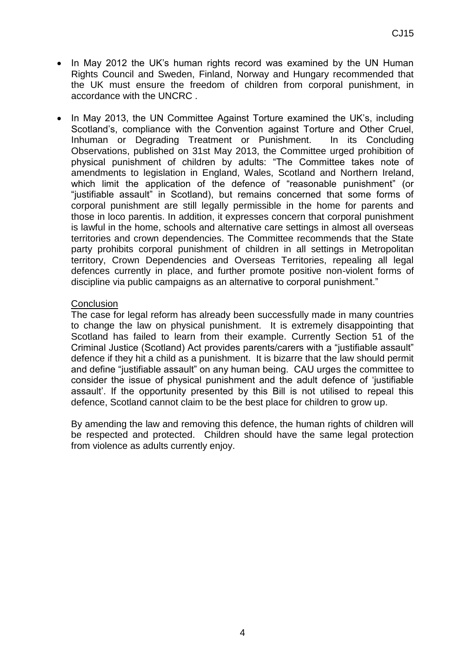- In May 2012 the UK's human rights record was examined by the UN Human Rights Council and Sweden, Finland, Norway and Hungary recommended that the UK must ensure the freedom of children from corporal punishment, in accordance with the UNCRC .
- In May 2013, the UN Committee Against Torture examined the UK's, including Scotland's, compliance with the Convention against Torture and Other Cruel, Inhuman or Degrading Treatment or Punishment. In its Concluding Observations, published on 31st May 2013, the Committee urged prohibition of physical punishment of children by adults: "The Committee takes note of amendments to legislation in England, Wales, Scotland and Northern Ireland, which limit the application of the defence of "reasonable punishment" (or "justifiable assault" in Scotland), but remains concerned that some forms of corporal punishment are still legally permissible in the home for parents and those in loco parentis. In addition, it expresses concern that corporal punishment is lawful in the home, schools and alternative care settings in almost all overseas territories and crown dependencies. The Committee recommends that the State party prohibits corporal punishment of children in all settings in Metropolitan territory, Crown Dependencies and Overseas Territories, repealing all legal defences currently in place, and further promote positive non-violent forms of discipline via public campaigns as an alternative to corporal punishment."

#### **Conclusion**

The case for legal reform has already been successfully made in many countries to change the law on physical punishment. It is extremely disappointing that Scotland has failed to learn from their example. Currently Section 51 of the Criminal Justice (Scotland) Act provides parents/carers with a "justifiable assault" defence if they hit a child as a punishment. It is bizarre that the law should permit and define "justifiable assault" on any human being. CAU urges the committee to consider the issue of physical punishment and the adult defence of 'justifiable assault'. If the opportunity presented by this Bill is not utilised to repeal this defence, Scotland cannot claim to be the best place for children to grow up.

By amending the law and removing this defence, the human rights of children will be respected and protected. Children should have the same legal protection from violence as adults currently enjoy.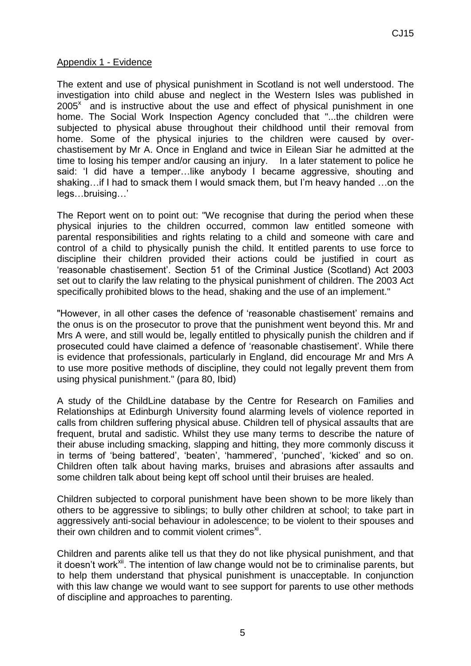### Appendix 1 - Evidence

The extent and use of physical punishment in Scotland is not well understood. The investigation into child abuse and neglect in the Western Isles was published in  $2005<sup>x</sup>$  and is instructive about the use and effect of physical punishment in one home. The Social Work Inspection Agency concluded that "...the children were subjected to physical abuse throughout their childhood until their removal from home. Some of the physical injuries to the children were caused by overchastisement by Mr A. Once in England and twice in Eilean Siar he admitted at the time to losing his temper and/or causing an injury. In a later statement to police he said: 'I did have a temper…like anybody I became aggressive, shouting and shaking…if I had to smack them I would smack them, but I'm heavy handed …on the legs…bruising…'

The Report went on to point out: "We recognise that during the period when these physical injuries to the children occurred, common law entitled someone with parental responsibilities and rights relating to a child and someone with care and control of a child to physically punish the child. It entitled parents to use force to discipline their children provided their actions could be justified in court as 'reasonable chastisement'. Section 51 of the Criminal Justice (Scotland) Act 2003 set out to clarify the law relating to the physical punishment of children. The 2003 Act specifically prohibited blows to the head, shaking and the use of an implement."

"However, in all other cases the defence of 'reasonable chastisement' remains and the onus is on the prosecutor to prove that the punishment went beyond this. Mr and Mrs A were, and still would be, legally entitled to physically punish the children and if prosecuted could have claimed a defence of 'reasonable chastisement'. While there is evidence that professionals, particularly in England, did encourage Mr and Mrs A to use more positive methods of discipline, they could not legally prevent them from using physical punishment." (para 80, Ibid)

A study of the ChildLine database by the Centre for Research on Families and Relationships at Edinburgh University found alarming levels of violence reported in calls from children suffering physical abuse. Children tell of physical assaults that are frequent, brutal and sadistic. Whilst they use many terms to describe the nature of their abuse including smacking, slapping and hitting, they more commonly discuss it in terms of 'being battered', 'beaten', 'hammered', 'punched', 'kicked' and so on. Children often talk about having marks, bruises and abrasions after assaults and some children talk about being kept off school until their bruises are healed.

Children subjected to corporal punishment have been shown to be more likely than others to be aggressive to siblings; to bully other children at school; to take part in aggressively anti-social behaviour in adolescence; to be violent to their spouses and their own children and to commit violent crimes $x$ .

Children and parents alike tell us that they do not like physical punishment, and that it doesn't work<sup>xii</sup>. The intention of law change would not be to criminalise parents, but to help them understand that physical punishment is unacceptable. In conjunction with this law change we would want to see support for parents to use other methods of discipline and approaches to parenting.